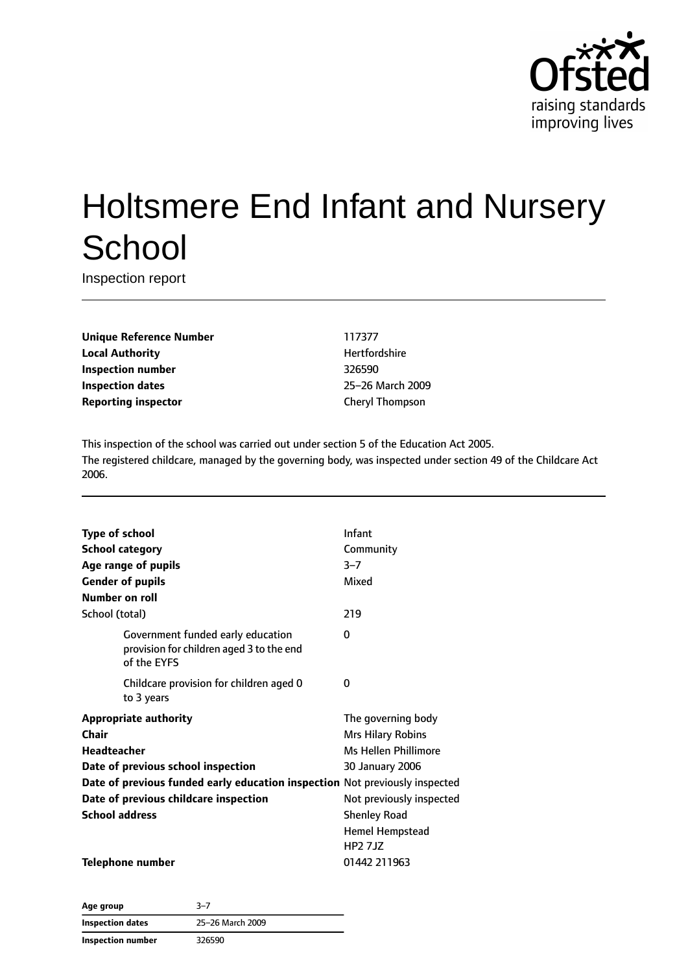

# Holtsmere End Infant and Nursery **School**

Inspection report

**Unique Reference Number** 117377 **Local Authority Hertfordshire Inspection number** 326590 **Inspection dates** 25–26 March 2009 **Reporting inspector** Cheryl Thompson

This inspection of the school was carried out under section 5 of the Education Act 2005. The registered childcare, managed by the governing body, was inspected under section 49 of the Childcare Act 2006.

| <b>Type of school</b>                                                                        | Infant                      |
|----------------------------------------------------------------------------------------------|-----------------------------|
| <b>School category</b>                                                                       | Community                   |
| Age range of pupils                                                                          | $3 - 7$                     |
| <b>Gender of pupils</b>                                                                      | Mixed                       |
| Number on roll                                                                               |                             |
| School (total)                                                                               | 219                         |
| Government funded early education<br>provision for children aged 3 to the end<br>of the EYFS | 0                           |
| Childcare provision for children aged 0<br>to 3 years                                        | 0                           |
| <b>Appropriate authority</b>                                                                 | The governing body          |
| Chair                                                                                        | <b>Mrs Hilary Robins</b>    |
| Headteacher                                                                                  | <b>Ms Hellen Phillimore</b> |
| Date of previous school inspection                                                           | 30 January 2006             |
| Date of previous funded early education inspection Not previously inspected                  |                             |
| Date of previous childcare inspection                                                        | Not previously inspected    |
| <b>School address</b>                                                                        | <b>Shenley Road</b>         |
|                                                                                              | <b>Hemel Hempstead</b>      |
|                                                                                              | <b>HP2 7JZ</b>              |
| Telephone number                                                                             | 01442 211963                |

**Age group** 3–7 **Inspection dates** 25–26 March 2009 **Inspection number** 326590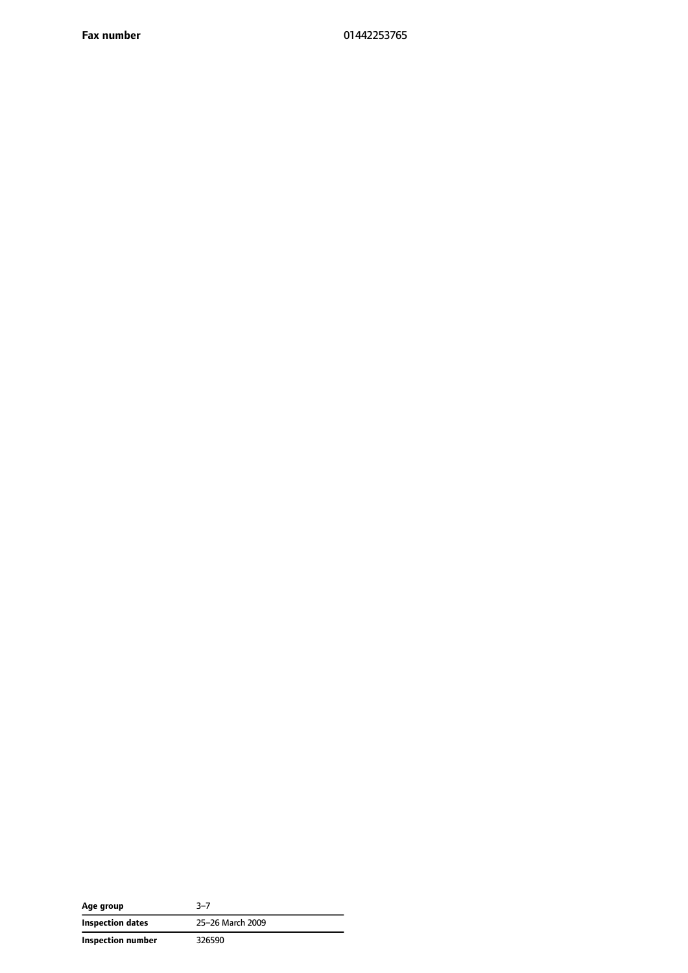**Fax number** 01442253765

| Age group         | $3 - 7$          |
|-------------------|------------------|
| Inspection dates  | 25-26 March 2009 |
| Inspection number | 326590           |

 $\overline{a}$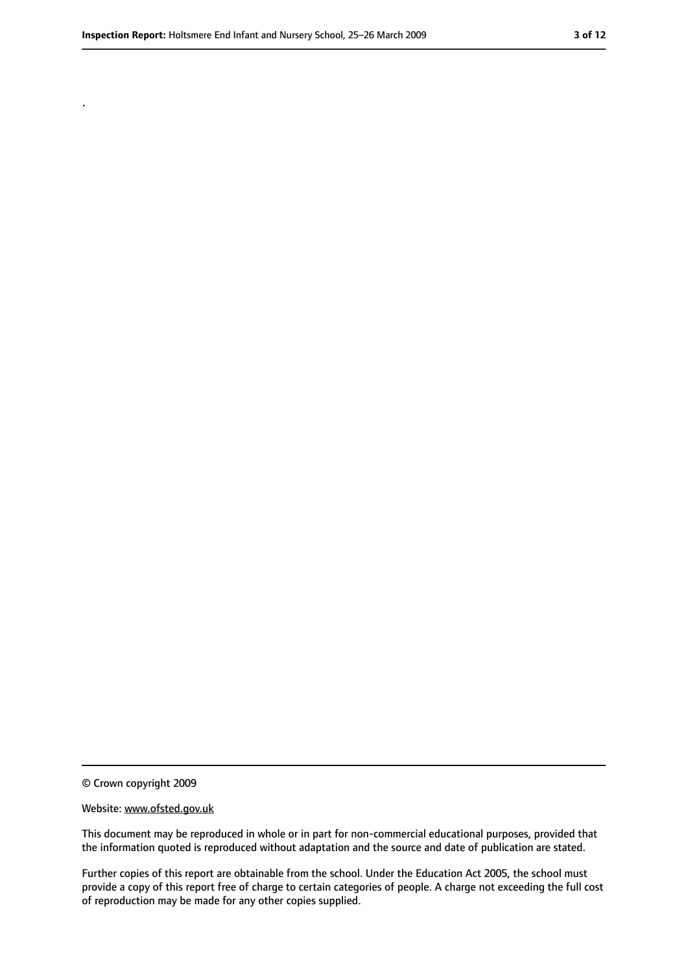.

<sup>©</sup> Crown copyright 2009

Website: www.ofsted.gov.uk

This document may be reproduced in whole or in part for non-commercial educational purposes, provided that the information quoted is reproduced without adaptation and the source and date of publication are stated.

Further copies of this report are obtainable from the school. Under the Education Act 2005, the school must provide a copy of this report free of charge to certain categories of people. A charge not exceeding the full cost of reproduction may be made for any other copies supplied.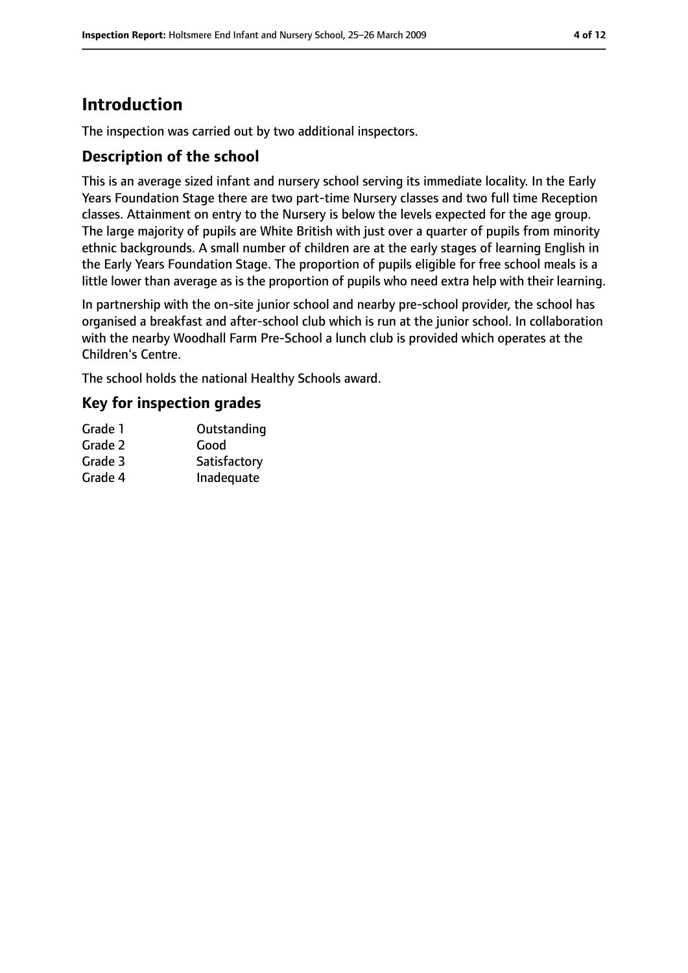# **Introduction**

The inspection was carried out by two additional inspectors.

#### **Description of the school**

This is an average sized infant and nursery school serving its immediate locality. In the Early Years Foundation Stage there are two part-time Nursery classes and two full time Reception classes. Attainment on entry to the Nursery is below the levels expected for the age group. The large majority of pupils are White British with just over a quarter of pupils from minority ethnic backgrounds. A small number of children are at the early stages of learning English in the Early Years Foundation Stage. The proportion of pupils eligible for free school meals is a little lower than average as is the proportion of pupils who need extra help with their learning.

In partnership with the on-site junior school and nearby pre-school provider, the school has organised a breakfast and after-school club which is run at the junior school. In collaboration with the nearby Woodhall Farm Pre-School a lunch club is provided which operates at the Children's Centre.

The school holds the national Healthy Schools award.

#### **Key for inspection grades**

| Grade 1 | Outstanding  |
|---------|--------------|
| Grade 2 | Good         |
| Grade 3 | Satisfactory |
| Grade 4 | Inadequate   |
|         |              |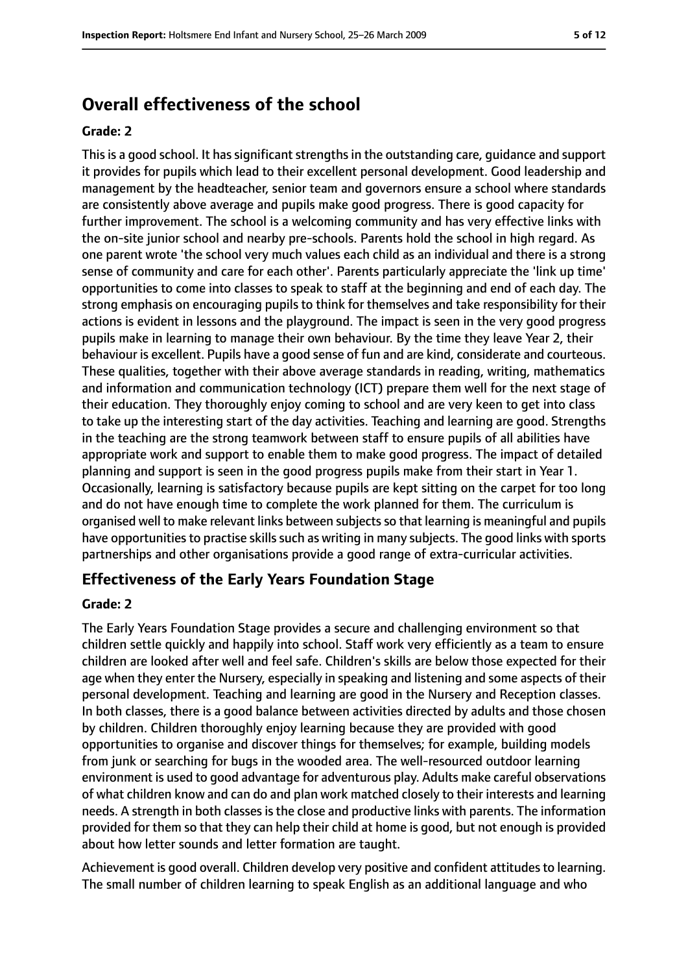### **Overall effectiveness of the school**

#### **Grade: 2**

This is a good school. It has significant strengths in the outstanding care, guidance and support it provides for pupils which lead to their excellent personal development. Good leadership and management by the headteacher, senior team and governors ensure a school where standards are consistently above average and pupils make good progress. There is good capacity for further improvement. The school is a welcoming community and has very effective links with the on-site junior school and nearby pre-schools. Parents hold the school in high regard. As one parent wrote 'the school very much values each child as an individual and there is a strong sense of community and care for each other'. Parents particularly appreciate the 'link up time' opportunities to come into classes to speak to staff at the beginning and end of each day. The strong emphasis on encouraging pupils to think for themselves and take responsibility for their actions is evident in lessons and the playground. The impact is seen in the very good progress pupils make in learning to manage their own behaviour. By the time they leave Year 2, their behaviour is excellent. Pupils have a good sense of fun and are kind, considerate and courteous. These qualities, together with their above average standards in reading, writing, mathematics and information and communication technology (ICT) prepare them well for the next stage of their education. They thoroughly enjoy coming to school and are very keen to get into class to take up the interesting start of the day activities. Teaching and learning are good. Strengths in the teaching are the strong teamwork between staff to ensure pupils of all abilities have appropriate work and support to enable them to make good progress. The impact of detailed planning and support is seen in the good progress pupils make from their start in Year 1. Occasionally, learning is satisfactory because pupils are kept sitting on the carpet for too long and do not have enough time to complete the work planned for them. The curriculum is organised well to make relevant links between subjectsso that learning is meaningful and pupils have opportunities to practise skills such as writing in many subjects. The good links with sports partnerships and other organisations provide a good range of extra-curricular activities.

#### **Effectiveness of the Early Years Foundation Stage**

#### **Grade: 2**

The Early Years Foundation Stage provides a secure and challenging environment so that children settle quickly and happily into school. Staff work very efficiently as a team to ensure children are looked after well and feel safe. Children's skills are below those expected for their age when they enter the Nursery, especially in speaking and listening and some aspects of their personal development. Teaching and learning are good in the Nursery and Reception classes. In both classes, there is a good balance between activities directed by adults and those chosen by children. Children thoroughly enjoy learning because they are provided with good opportunities to organise and discover things for themselves; for example, building models from junk or searching for bugs in the wooded area. The well-resourced outdoor learning environment is used to good advantage for adventurous play. Adults make careful observations of what children know and can do and plan work matched closely to their interests and learning needs. A strength in both classes is the close and productive links with parents. The information provided for them so that they can help their child at home is good, but not enough is provided about how letter sounds and letter formation are taught.

Achievement is good overall. Children develop very positive and confident attitudes to learning. The small number of children learning to speak English as an additional language and who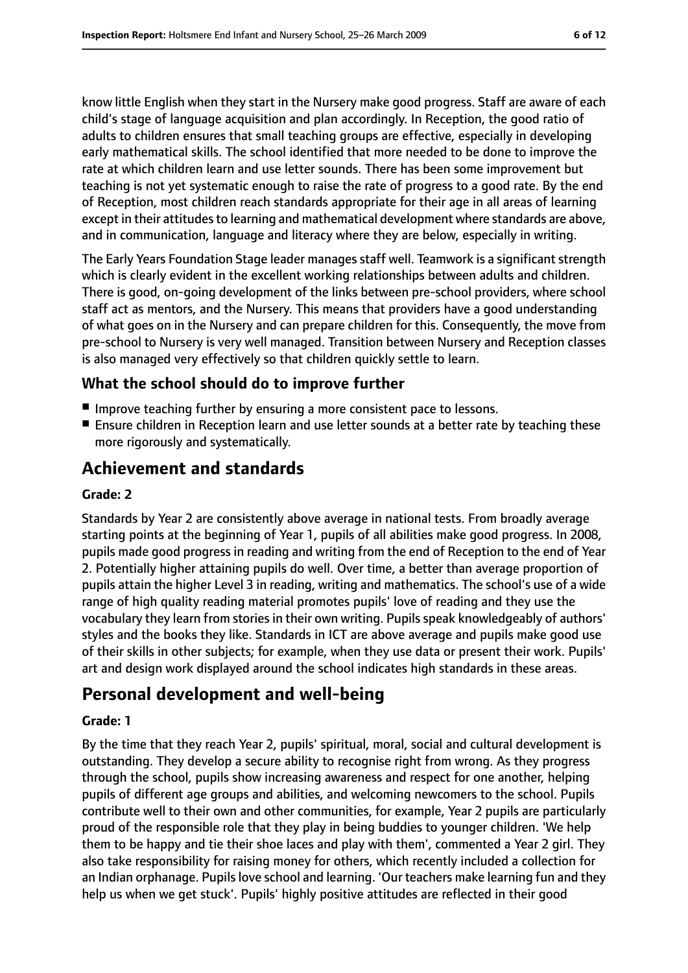know little English when they start in the Nursery make good progress. Staff are aware of each child's stage of language acquisition and plan accordingly. In Reception, the good ratio of adults to children ensures that small teaching groups are effective, especially in developing early mathematical skills. The school identified that more needed to be done to improve the rate at which children learn and use letter sounds. There has been some improvement but teaching is not yet systematic enough to raise the rate of progress to a good rate. By the end of Reception, most children reach standards appropriate for their age in all areas of learning except in their attitudes to learning and mathematical development where standards are above, and in communication, language and literacy where they are below, especially in writing.

The Early Years Foundation Stage leader manages staff well. Teamwork is a significant strength which is clearly evident in the excellent working relationships between adults and children. There is good, on-going development of the links between pre-school providers, where school staff act as mentors, and the Nursery. This means that providers have a good understanding of what goes on in the Nursery and can prepare children for this. Consequently, the move from pre-school to Nursery is very well managed. Transition between Nursery and Reception classes is also managed very effectively so that children quickly settle to learn.

#### **What the school should do to improve further**

- Improve teaching further by ensuring a more consistent pace to lessons.
- Ensure children in Reception learn and use letter sounds at a better rate by teaching these more rigorously and systematically.

# **Achievement and standards**

#### **Grade: 2**

Standards by Year 2 are consistently above average in national tests. From broadly average starting points at the beginning of Year 1, pupils of all abilities make good progress. In 2008, pupils made good progress in reading and writing from the end of Reception to the end of Year 2. Potentially higher attaining pupils do well. Over time, a better than average proportion of pupils attain the higher Level 3 in reading, writing and mathematics. The school's use of a wide range of high quality reading material promotes pupils' love of reading and they use the vocabulary they learn from stories in their own writing. Pupils speak knowledgeably of authors' styles and the books they like. Standards in ICT are above average and pupils make good use of their skills in other subjects; for example, when they use data or present their work. Pupils' art and design work displayed around the school indicates high standards in these areas.

# **Personal development and well-being**

#### **Grade: 1**

By the time that they reach Year 2, pupils' spiritual, moral, social and cultural development is outstanding. They develop a secure ability to recognise right from wrong. As they progress through the school, pupils show increasing awareness and respect for one another, helping pupils of different age groups and abilities, and welcoming newcomers to the school. Pupils contribute well to their own and other communities, for example, Year 2 pupils are particularly proud of the responsible role that they play in being buddies to younger children. 'We help them to be happy and tie their shoe laces and play with them', commented a Year 2 girl. They also take responsibility for raising money for others, which recently included a collection for an Indian orphanage. Pupils love school and learning. 'Our teachers make learning fun and they help us when we get stuck'. Pupils' highly positive attitudes are reflected in their good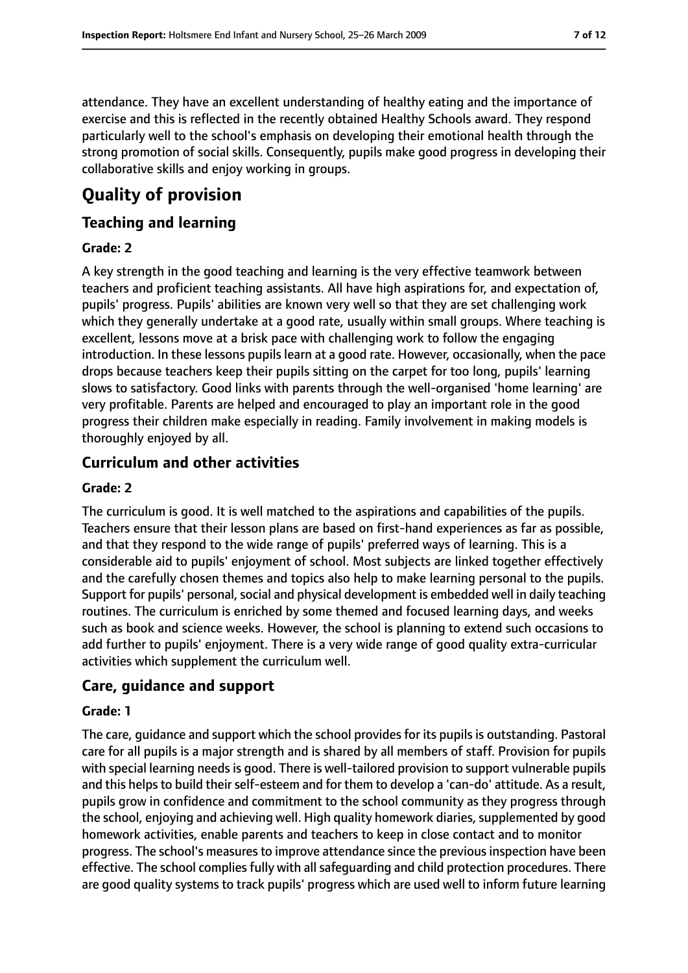exercise and this is reflected in the recently obtained Healthy Schools award. They respond particularly well to the school's emphasis on developing their emotional health through the strong promotion of social skills. Consequently, pupils make good progress in developing their collaborative skills and enjoy working in groups.

# **Quality of provision**

## **Teaching and learning**

#### **Grade: 2**

A key strength in the good teaching and learning is the very effective teamwork between teachers and proficient teaching assistants. All have high aspirations for, and expectation of, pupils' progress. Pupils' abilities are known very well so that they are set challenging work which they generally undertake at a good rate, usually within small groups. Where teaching is excellent, lessons move at a brisk pace with challenging work to follow the engaging introduction. In these lessons pupils learn at a good rate. However, occasionally, when the pace drops because teachers keep their pupils sitting on the carpet for too long, pupils' learning slows to satisfactory. Good links with parents through the well-organised 'home learning' are very profitable. Parents are helped and encouraged to play an important role in the good progress their children make especially in reading. Family involvement in making models is thoroughly enjoyed by all.

## **Curriculum and other activities**

#### **Grade: 2**

The curriculum is good. It is well matched to the aspirations and capabilities of the pupils. Teachers ensure that their lesson plans are based on first-hand experiences as far as possible, and that they respond to the wide range of pupils' preferred ways of learning. This is a considerable aid to pupils' enjoyment of school. Most subjects are linked together effectively and the carefully chosen themes and topics also help to make learning personal to the pupils. Support for pupils' personal, social and physical development is embedded well in daily teaching routines. The curriculum is enriched by some themed and focused learning days, and weeks such as book and science weeks. However, the school is planning to extend such occasions to add further to pupils' enjoyment. There is a very wide range of good quality extra-curricular activities which supplement the curriculum well.

## **Care, guidance and support**

#### **Grade: 1**

The care, guidance and support which the school provides for its pupils is outstanding. Pastoral care for all pupils is a major strength and is shared by all members of staff. Provision for pupils with special learning needs is good. There is well-tailored provision to support vulnerable pupils and this helps to build their self-esteem and for them to develop a 'can-do' attitude. As a result, pupils grow in confidence and commitment to the school community as they progress through the school, enjoying and achieving well. High quality homework diaries, supplemented by good homework activities, enable parents and teachers to keep in close contact and to monitor progress. The school's measures to improve attendance since the previous inspection have been effective. The school complies fully with all safeguarding and child protection procedures. There are good quality systems to track pupils' progress which are used well to inform future learning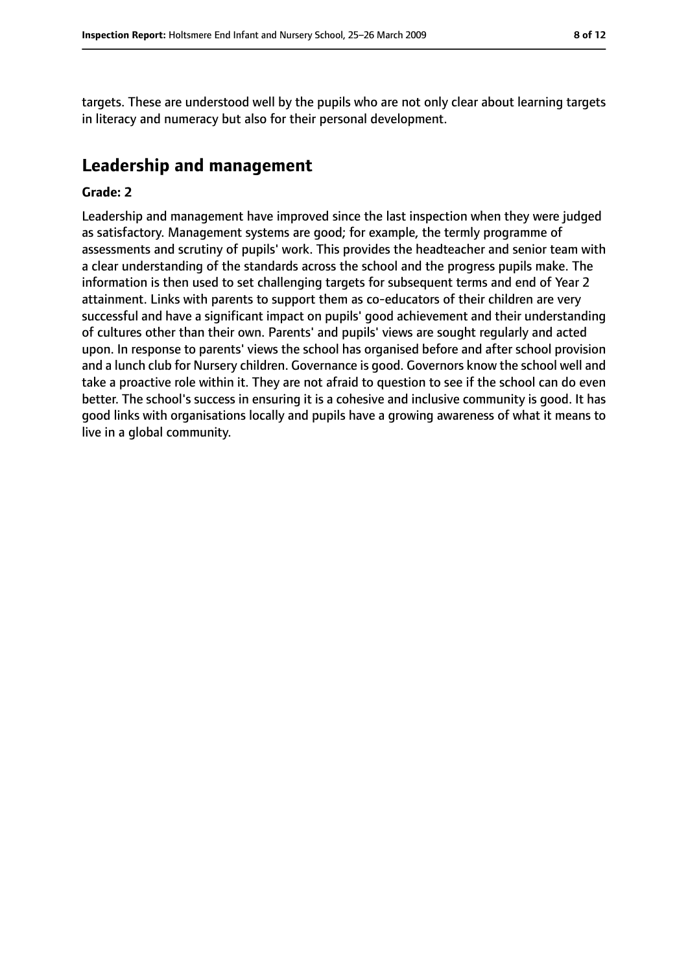targets. These are understood well by the pupils who are not only clear about learning targets in literacy and numeracy but also for their personal development.

# **Leadership and management**

#### **Grade: 2**

Leadership and management have improved since the last inspection when they were judged as satisfactory. Management systems are good; for example, the termly programme of assessments and scrutiny of pupils' work. This provides the headteacher and senior team with a clear understanding of the standards across the school and the progress pupils make. The information is then used to set challenging targets for subsequent terms and end of Year 2 attainment. Links with parents to support them as co-educators of their children are very successful and have a significant impact on pupils' good achievement and their understanding of cultures other than their own. Parents' and pupils' views are sought regularly and acted upon. In response to parents' views the school has organised before and after school provision and a lunch club for Nursery children. Governance is good. Governors know the school well and take a proactive role within it. They are not afraid to question to see if the school can do even better. The school's success in ensuring it is a cohesive and inclusive community is good. It has good links with organisations locally and pupils have a growing awareness of what it means to live in a global community.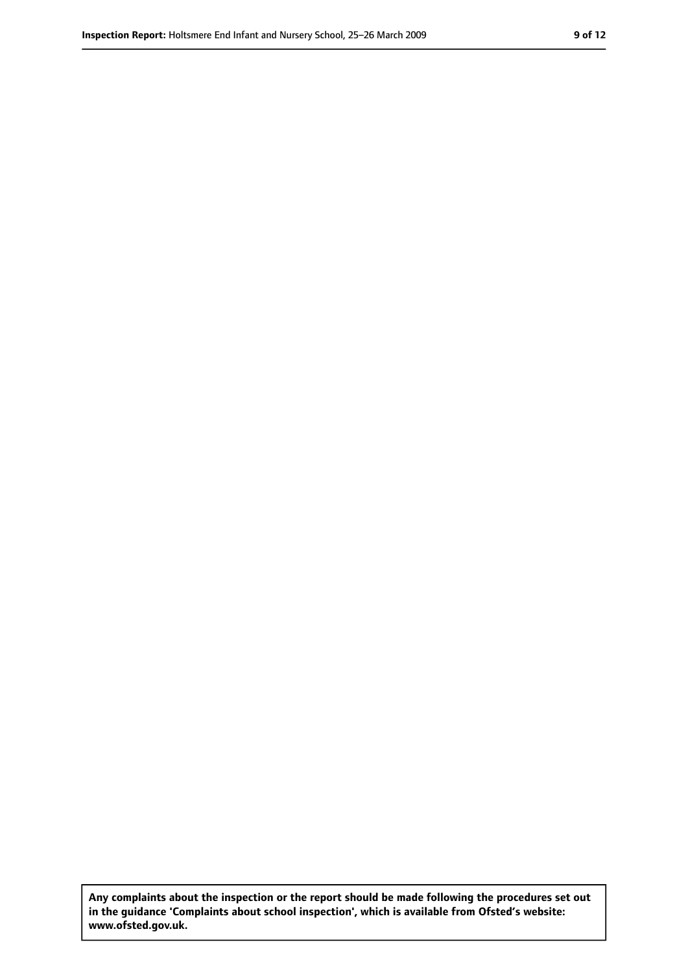**Any complaints about the inspection or the report should be made following the procedures set out in the guidance 'Complaints about school inspection', which is available from Ofsted's website: www.ofsted.gov.uk.**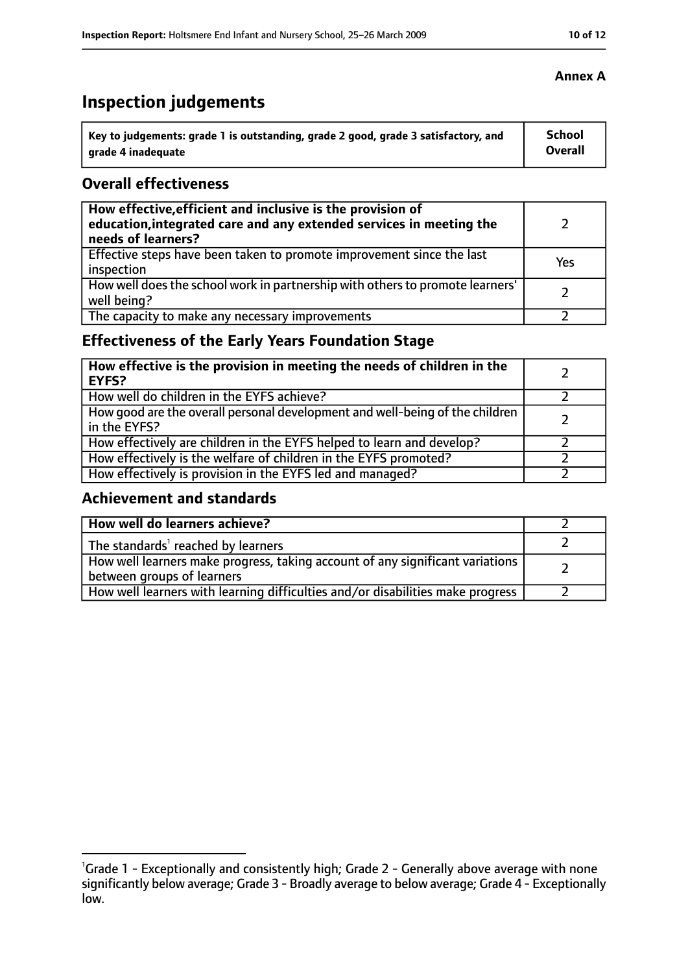# **Inspection judgements**

| Key to judgements: grade 1 is outstanding, grade 2 good, grade 3 satisfactory, and | <b>School</b>  |
|------------------------------------------------------------------------------------|----------------|
| arade 4 inadequate                                                                 | <b>Overall</b> |

#### **Overall effectiveness**

| How effective, efficient and inclusive is the provision of<br>education, integrated care and any extended services in meeting the<br>needs of learners? |     |
|---------------------------------------------------------------------------------------------------------------------------------------------------------|-----|
| Effective steps have been taken to promote improvement since the last<br>inspection                                                                     | Yes |
| How well does the school work in partnership with others to promote learners'<br>well being?                                                            |     |
| The capacity to make any necessary improvements                                                                                                         |     |

## **Effectiveness of the Early Years Foundation Stage**

| How effective is the provision in meeting the needs of children in the<br><b>EYFS?</b>       |  |
|----------------------------------------------------------------------------------------------|--|
| How well do children in the EYFS achieve?                                                    |  |
| How good are the overall personal development and well-being of the children<br>in the EYFS? |  |
| How effectively are children in the EYFS helped to learn and develop?                        |  |
| How effectively is the welfare of children in the EYFS promoted?                             |  |
| How effectively is provision in the EYFS led and managed?                                    |  |

#### **Achievement and standards**

| How well do learners achieve?                                                                               |  |
|-------------------------------------------------------------------------------------------------------------|--|
| The standards <sup>1</sup> reached by learners                                                              |  |
| How well learners make progress, taking account of any significant variations<br>between groups of learners |  |
| How well learners with learning difficulties and/or disabilities make progress                              |  |

<sup>&</sup>lt;sup>1</sup>Grade 1 - Exceptionally and consistently high; Grade 2 - Generally above average with none

significantly below average; Grade 3 - Broadly average to below average; Grade 4 - Exceptionally low.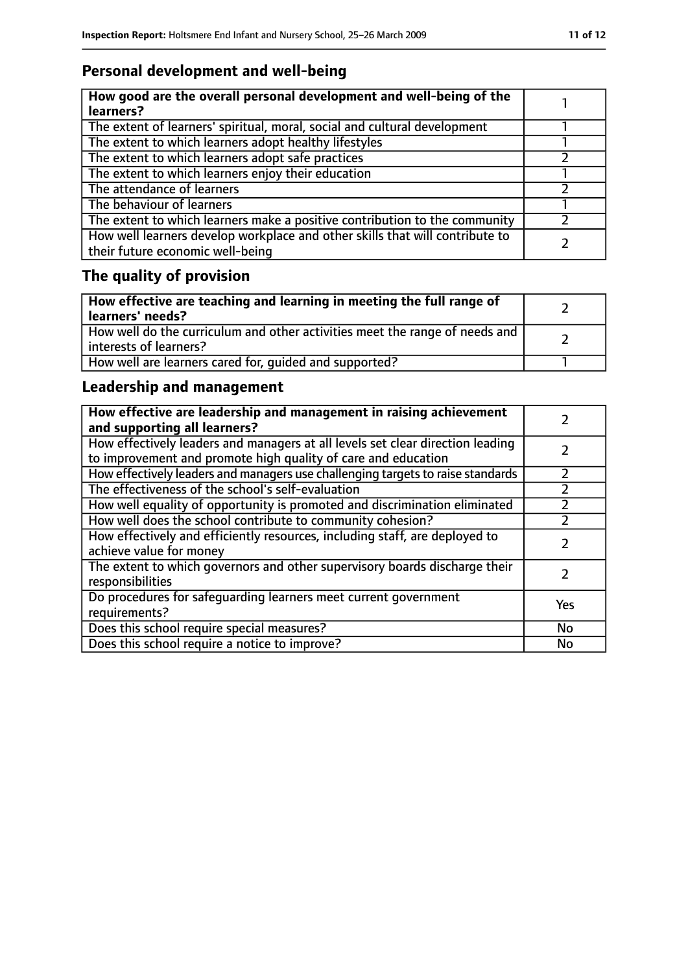# **Personal development and well-being**

| How good are the overall personal development and well-being of the<br>learners?                                 |  |
|------------------------------------------------------------------------------------------------------------------|--|
| The extent of learners' spiritual, moral, social and cultural development                                        |  |
| The extent to which learners adopt healthy lifestyles                                                            |  |
| The extent to which learners adopt safe practices                                                                |  |
| The extent to which learners enjoy their education                                                               |  |
| The attendance of learners                                                                                       |  |
| The behaviour of learners                                                                                        |  |
| The extent to which learners make a positive contribution to the community                                       |  |
| How well learners develop workplace and other skills that will contribute to<br>their future economic well-being |  |

# **The quality of provision**

| How effective are teaching and learning in meeting the full range of<br>learners' needs?              |  |
|-------------------------------------------------------------------------------------------------------|--|
| How well do the curriculum and other activities meet the range of needs and<br>interests of learners? |  |
| How well are learners cared for, quided and supported?                                                |  |

## **Leadership and management**

| How effective are leadership and management in raising achievement<br>and supporting all learners?                                              |     |
|-------------------------------------------------------------------------------------------------------------------------------------------------|-----|
| How effectively leaders and managers at all levels set clear direction leading<br>to improvement and promote high quality of care and education |     |
| How effectively leaders and managers use challenging targets to raise standards                                                                 |     |
| The effectiveness of the school's self-evaluation                                                                                               |     |
| How well equality of opportunity is promoted and discrimination eliminated                                                                      |     |
| How well does the school contribute to community cohesion?                                                                                      |     |
| How effectively and efficiently resources, including staff, are deployed to<br>achieve value for money                                          |     |
| The extent to which governors and other supervisory boards discharge their<br>responsibilities                                                  |     |
| Do procedures for safequarding learners meet current government<br>requirements?                                                                | Yes |
| Does this school require special measures?                                                                                                      | No  |
| Does this school require a notice to improve?                                                                                                   | No  |